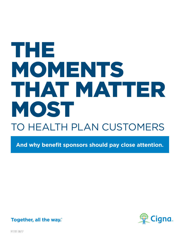# TO HEALTH PLAN CUSTOMERS THE MOMENTS THAT MATTER MOST

**And why benefit sponsors should pay close attention.**



**Together, all the way.** 

911701 08/17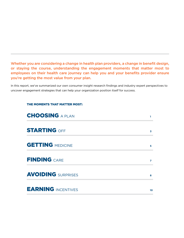Whether you are considering a change in health plan providers, a change in benefit design, or staying the course, understanding the engagement moments that matter most to employees on their health care journey can help you and your benefits provider ensure you're getting the most value from your plan.

In this report, we've summarized our own consumer insight research findings and industry expert perspectives to uncover engagement strategies that can help your organization position itself for success.

#### THE MOMENTS THAT MATTER MOST:

| <b>CHOOSING A PLAN</b>    |    |
|---------------------------|----|
| <b>STARTING OFF</b>       | 3  |
| <b>GETTING MEDICINE</b>   | 5  |
| <b>FINDING CARE</b>       | 7  |
| <b>AVOIDING</b> SURPRISES | 8  |
| <b>EARNING INCENTIVES</b> | 10 |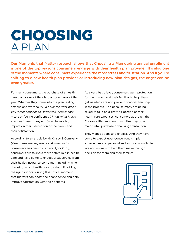# **CHOOSING** a Plan

Our Moments that Matter research shows that Choosing a Plan during annual enrollment is one of the top reasons consumers engage with their health plan provider. It's also one of the moments where consumers experience the most stress and frustration. And if you're shifting to a new health plan provider or introducing new plan designs, the angst can be even greater.

For many consumers, the purchase of a health care plan is one of their largest purchases of the year. Whether they come into the plan feeling anxious and worried (*"Did I buy the right plan? Will it meet my needs? What will it really cost me?"*) or feeling confident (*"I know what I have and what costs to expect."*) can have a big impact on their perception of the plan – and their satisfaction.

According to an article by McKinsey & Company (*Great customer experience: A win-win for consumers and health insurers, April 2016*), consumers are taking a more active role in health care and have come to expect great service from their health insurance company – including when choosing which health plan to select. Providing the right support during this critical moment that matters can boost their confidence and help improve satisfaction with their benefits.

At a very basic level, consumers want protection for themselves and their families to help them get needed care and prevent financial hardship in the process. And because many are being asked to take on a growing portion of their health care expenses, consumers approach the Choose a Plan moment much like they do a major retail purchase or banking transaction.

They want options and choices. And they have come to expect uber-convenient, simple experiences and personalized support – available live and online – to help them make the right decision for them and their families.

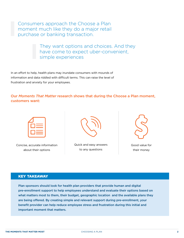Consumers approach the Choose a Plan moment much like they do a major retail purchase or banking transaction.

> They want options and choices. And they have come to expect uber-convenient, simple experiences

In an effort to help, health plans may inundate consumers with mounds of information and data riddled with difficult terms. This can raise the level of frustration and anxiety for your employees.

Our *Moments That Matter* research shows that during the Choose a Plan moment, customers want:

|                                                                                                                | <b>Service Service</b>                                                                                                          |
|----------------------------------------------------------------------------------------------------------------|---------------------------------------------------------------------------------------------------------------------------------|
| and the state of the state of the state of the state of the state of the state of the state of the state of th | $\mathcal{L}^{\text{max}}_{\text{max}}$ and $\mathcal{L}^{\text{max}}_{\text{max}}$ and $\mathcal{L}^{\text{max}}_{\text{max}}$ |

Concise, accurate information about their options



Quick and easy answers to any questions



Good value for their money

#### Key Takeaway

Plan sponsors should look for health plan providers that provide human and digital pre-enrollment support to help employees understand and evaluate their options based on what matters most to them, their budget, geographic location and the available plans they are being offered. By creating simple and relevant support during pre-enrollment, your benefit provider can help reduce employee stress and frustration during this initial and important moment that matters.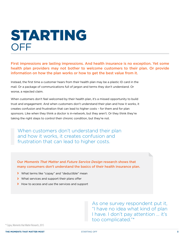# STARTING **OFF**

First impressions are lasting impressions. And health insurance is no exception. Yet some health plan providers may not bother to welcome customers to their plan. Or provide information on how the plan works or how to get the best value from it.

Instead, the first time a customer hears from their health plan may be a plastic ID card in the mail. Or a package of communications full of jargon and terms they don't understand. Or worse, a rejected claim.

When customers don't feel welcomed by their health plan, it's a missed opportunity to build trust and engagement. And when customers don't understand their plan and how it works, it creates confusion and frustration that can lead to higher costs – for them and for plan sponsors. Like when they think a doctor is in-network, but they aren't. Or they think they're taking the right steps to control their chronic condition, but they're not.

When customers don't understand their plan and how it works, it creates confusion and frustration that can lead to higher costs.

Our *Moments That Matter* and *Future Service Design* research shows that many consumers don't understand the basics of their health insurance plan.

- **›** What terms like "copay" and "deductible" mean
- **›** What services and support their plans offer
- **›** How to access and use the services and support

As one survey respondent put it, "I have no idea what kind of plan I have. I don't pay attention … it's too complicated."\*

\* Cigna, Moments that Matter Research, 2015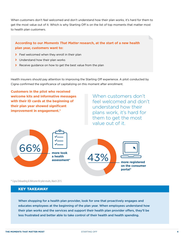When customers don't feel welcomed and don't understand how their plan works, it's hard for them to get the most value out of it. Which is why Starting Off is on the list of top moments that matter most to health plan customers.

### **According to our** *Moments That Matter* **research, at the start of a new health plan year, customers want to:**

- **›** Feel welcomed when they enroll in their plan
- **›** Understand how their plan works
- **›** Receive guidance on how to get the best value from the plan

Health insurers should pay attention to improving the Starting Off experience. A pilot conducted by Cigna confirmed the significance of capitalizing on this moment after enrollment.

**Customers in the pilot who received welcome kits and informative messages with their ID cards at the beginning of their plan year showed significant improvement in engagement.\***

When customers don't feel welcomed and don't understand how their plans work, it's hard for them to get the most value out of it.





\* Cigna Onboarding & Welcome Kit pilot results, March 2015.

#### Key Takeaway

When shopping for a health plan provider, look for one that proactively engages and educates employees at the beginning of the plan year. When employees understand how their plan works and the services and support their health plan provider offers, they'll be less frustrated and better able to take control of their health and health spending.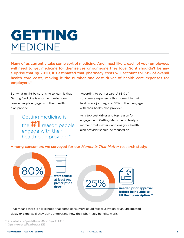# GETTING MEDICINE

Many of us currently take some sort of medicine. And, most likely, each of your employees will need to get medicine for themselves or someone they love. So it shouldn't be any surprise that by 2020, it's estimated that pharmacy costs will account for 31% of overall health care costs, making it the number one cost driver of health care expenses for employers.\*

But what might be surprising to learn is that Getting Medicine is also the number one reason people engage with their health plan provider.

> Getting medicine is the  $\#1$  reason people engage with their health plan provider.\*

According to our research,\* 68% of consumers experience this moment in their health care journey, and 38% of them engage with their health plan provider.

As a top cost driver and top reason for engagement, Getting Medicine is clearly a moment that matters, and one your health plan provider should be focused on.

#### Among consumers we surveyed for our *Moments That Matter* research study:



That means there is a likelihood that some consumers could face frustration or an unexpected delay or expense if they don't understand how their pharmacy benefits work.

\* A Closer Look at the Specialty Pharmacy Market, Cigna, April 2017

\*\* Cigna, Moments that Matter Research, 2015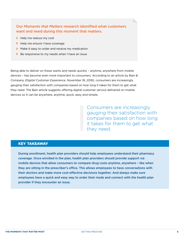### Our *Moments that Matters* research identified what customers want and need during this moment that matters.

- **›** Help me reduce my cost
- **›** Help me ensure I have coverage
- **›** Make it easy to order and receive my medication
- **›** Be responsive to my needs when I have an issue

Being able to deliver on these wants and needs quickly – anytime, anywhere from mobile devices – has become even more important to consumers. According to an article by Bain & Company *(Digital Customer Experience, November 16, 2016)*, consumers are increasingly gauging their satisfaction with companies based on how long it takes for them to get what they need. The Bain article suggests offering digital customer service delivered on mobile devices so it can be anywhere, anytime, quick, easy and simple.

> Consumers are increasingly gauging their satisfaction with companies based on how long it takes for them to get what they need.

#### Key Takeaway

During enrollment, health plan providers should help employees understand their pharmacy coverage. Once enrolled in the plan, health plan providers should provide support via mobile devices that allow consumers to compare drug costs anytime, anywhere – like when they are sitting in the prescriber's office. This allows employees to have conversations with their doctors and make more cost-effective decisions together. And always make sure employees have a quick and easy way to order their meds and connect with the health plan provider if they encounter an issue.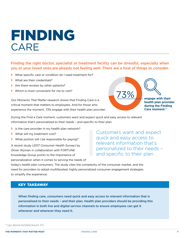# FINDING CARE

### Finding the right doctor, specialist or treatment facility can be stressful, especially when you or your loved ones are already not feeling well. There are a host of things to consider.

- **›** What specific care or condition do I need treatment for?
- **›** What are their credentials?
- **›** Are there reviews by other patients?
- **›** Which is most convenient for me to visit?

Our *Moments That Matter* research shows that Finding Care is a critical moment that matters to employees. And for those who experience the moment, 73% engage with their health plan provider.



73% **engage with their health plan provider during the Finding Care moment.\*** 

During the Find a Care moment, customers want and expect quick and easy access to relevant information that's personalized to their needs – and specific to their plan.

- **›** Is the care provider in my health plan network?
- **›** What will my treatment cost?
- **›** What portion will I be responsible for paying?

A recent study (*2017 Consumer Health Survey*) by Oliver Wyman in collaboration with FORTUNE Knowledge Group points to the importance of personalization when it comes to serving the needs of

Customers want and expect quick and easy access to relevant information that's personalized to their needs – and specific to their plan.

today's health plan consumers. The study cites the complexity of the consumer market, and the need for providers to adopt multifaceted, highly personalized consumer engagement strategies to simplify the experience.

#### Key Takeaway

When finding care, consumers need quick and easy access to relevant information that is personalized to their needs – and their plan. Health plan providers should be providing this information in both live and digital service channels to ensure employees can get it whenever and wherever they need it.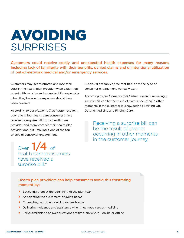# AVOIDING **SURPRISES**

Customers could receive costly and unexpected health expenses for many reasons including lack of familiarity with their benefits, denied claims and unintentional utilization of out-of-network medical and/or emergency services.

Customers may get frustrated and lose their trust in the health plan provider when caught off guard with surprise and excessive bills, especially when they believe the expenses should have been covered.

According to our *Moments That Matter* research, over one in four health care consumers have received a surprise bill from a health care provider, and many contact their health plan provider about it –making it one of the top drivers of consumer engagement.

Over  $1/4$  of health care consumers have received a surprise bill.\*

But you'd probably agree that this is not the type of consumer engagement we really want.

According to our *Moments that Matter* research, receiving a surprise bill can be the result of events occurring in other moments in the customer journey, such as Starting Off, Getting Medicine and Finding Care.

Receiving a surprise bill can be the result of events occurring in other moments in the customer journey,

### Health plan providers can help consumers avoid this frustrating moment by:

- **›** Educating them at the beginning of the plan year
- **›** Anticipating the customers' ongoing needs
- **›** Connecting with them quickly as needs arise
- **›** Delivering guidance and assistance when they need care or medicine
- **›** Being available to answer questions anytime, anywhere online or offline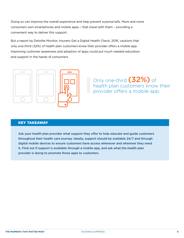Doing so can improve the overall experience and help prevent surprise bills. More and more consumers own smartphones and mobile apps – that travel with them – providing a convenient way to deliver this support.

But a report by Deloitte Monitor, Insurers Get a Digital Health Check, 2016, cautions that only one-third (32%) of health plan customers know their provider offers a mobile app. Improving customer awareness and adoption of apps could put much needed education and support in the hands of consumers.



Only one-third (32%) of health plan customers know their provider offers a mobile app.

#### Key Takeaway

Ask your health plan provider what support they offer to help educate and guide customers throughout their health care journey. Ideally, support should be available 24/7 and through digital mobile devices to ensure customers have access whenever and wherever they need it. Find out if support is available through a mobile app, and ask what the health plan provider is doing to promote those apps to customers.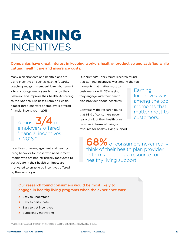# EARNING INCENTIVES

# Companies have great interest in keeping workers healthy, productive and satisfied while cutting health care and insurance costs.

Many plan sponsors and health plans are using incentives – such as cash, gift cards, coaching and gym membership reimbursement – to encourage employees to change their behavior and improve their health. According to the National Business Group on Health, almost three-quarters of employers offered financial incentives in 2016.

Almost  $3/4$  of employers offered financial incentives in 2016.\*

Incentives drive engagement and healthy living behavior for those who need it most. People who are not intrinsically motivated to participate in their health or fitness are motivated to engage by incentives offered by their employer.

Our *Moments That Matter* research found that Earning Incentives was among the top moments that matter most to customers – with 33% saying

Conversely, the research found that 68% of consumers never really think of their health plan provider in terms of being a resource for healthy living support.

they engage with their health plan provider about incentives. Earning Incentives was among the top moments that matter most to customers.

68% of consumers never really think of their health plan provider in terms of being a resource for healthy living support.

### Our research found consumers would be most likely to engage in healthy living programs when the experience was:

- **›** Easy to understand
- **›** Easy to participate
- **›** Easy to get incentives
- **›** Sufficiently motivating

\*National Business Group on Health, Website Topics: Engagement Incentives, accessed August 1, 2017.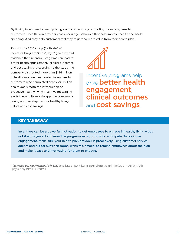By linking incentives to healthy living – and continuously promoting those programs to customers – health plan providers can encourage behaviors that help improve health and health spending. And they help customers feel they're getting more value from their health plan.

Results of a 2016 study (MotivateMe® Incentive Program Study\*) by Cigna provided evidence that incentive programs can lead to better health engagement, clinical outcomes and cost savings. According to the study, the company distributed more than \$154 million in health improvement related incentives to customers who completed nearly 2.8 million health goals. With the introduction of proactive healthy living incentive messaging alerts through its mobile app, the company is taking another step to drive healthy living habits and cost savings.



Incentive programs help drive **better health** engagement, clinical outcomes and **cost savings**.

### Key Takeaway

Incentives can be a powerful motivation to get employees to engage in healthy living – but not if employees don't know the programs exist, or how to participate. To optimize engagement, make sure your health plan provider is proactively using customer service agents and digital outreach (apps, websites, emails) to remind employees about the plan and make it easy and motivating for them to engage.

*\* Cigna MotivateMe Incentive Program Study, 2016.* Results based on Book of Business analysis of customers enrolled in Cigna plans with MotivateMe program during 1/1/2016 to 12/31/2016.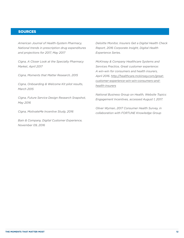#### **SOURCES**

*American Journal of Health-System Pharmacy, National trends in prescription drug expenditures and projections for 2017, May 2017* 

*Cigna, A Closer Look at the Specialty Pharmacy Market, April 2017* 

*Cigna, Moments that Matter Research, 2015*

*Cigna, Onboarding & Welcome Kit pilot results, March 2015*

*Cigna, Future Service Design Research Snapshot, May 2016* 

*Cigna, MotivateMe Incentive Study, 2016* 

*Bain & Company, Digital Customer Experience, November 09, 2016*

*Deloitte Monitor, Insurers Get a Digital Health Check Report, 2016 Corporate Insight, Digital Health Experience Series.* 

*McKinsey & Company Healthcare Systems and Services Practice, Great customer experience: A win-win for consumers and health insurers, April 2016. [http://healthcare.mckinsey.com/great](http://healthcare.mckinsey.com/great-customer-experience-win-win-consumers-and-health-insurers)[customer-experience-win-win-consumers-and](http://healthcare.mckinsey.com/great-customer-experience-win-win-consumers-and-health-insurers)[health-insurers](http://healthcare.mckinsey.com/great-customer-experience-win-win-consumers-and-health-insurers)*

*National Business Group on Health, Website Topics: Engagement Incentives, accessed August 1, 2017.* 

*Oliver Wyman, 2017 Consumer Health Survey, in collaboration with FORTUNE Knowledge Group*